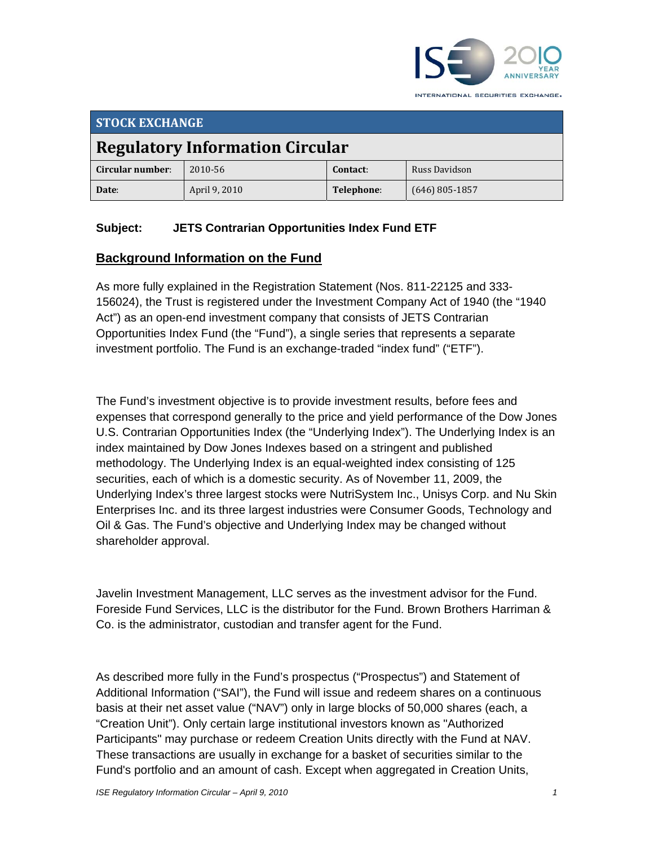

**STOCK EXCHANGE Regulatory Information Circular Circular number**: 2010‐56 **Contact**: Russ Davidson **Date**: April 9, 2010 **Telephone**: (646) 805‐1857

## **Subject: JETS Contrarian Opportunities Index Fund ETF**

## **Background Information on the Fund**

As more fully explained in the Registration Statement (Nos. 811-22125 and 333- 156024), the Trust is registered under the Investment Company Act of 1940 (the "1940 Act") as an open-end investment company that consists of JETS Contrarian Opportunities Index Fund (the "Fund"), a single series that represents a separate investment portfolio. The Fund is an exchange-traded "index fund" ("ETF").

The Fund's investment objective is to provide investment results, before fees and expenses that correspond generally to the price and yield performance of the Dow Jones U.S. Contrarian Opportunities Index (the "Underlying Index"). The Underlying Index is an index maintained by Dow Jones Indexes based on a stringent and published methodology. The Underlying Index is an equal-weighted index consisting of 125 securities, each of which is a domestic security. As of November 11, 2009, the Underlying Index's three largest stocks were NutriSystem Inc., Unisys Corp. and Nu Skin Enterprises Inc. and its three largest industries were Consumer Goods, Technology and Oil & Gas. The Fund's objective and Underlying Index may be changed without shareholder approval.

Javelin Investment Management, LLC serves as the investment advisor for the Fund. Foreside Fund Services, LLC is the distributor for the Fund. Brown Brothers Harriman & Co. is the administrator, custodian and transfer agent for the Fund.

As described more fully in the Fund's prospectus ("Prospectus") and Statement of Additional Information ("SAI"), the Fund will issue and redeem shares on a continuous basis at their net asset value ("NAV") only in large blocks of 50,000 shares (each, a "Creation Unit"). Only certain large institutional investors known as "Authorized Participants" may purchase or redeem Creation Units directly with the Fund at NAV. These transactions are usually in exchange for a basket of securities similar to the Fund's portfolio and an amount of cash. Except when aggregated in Creation Units,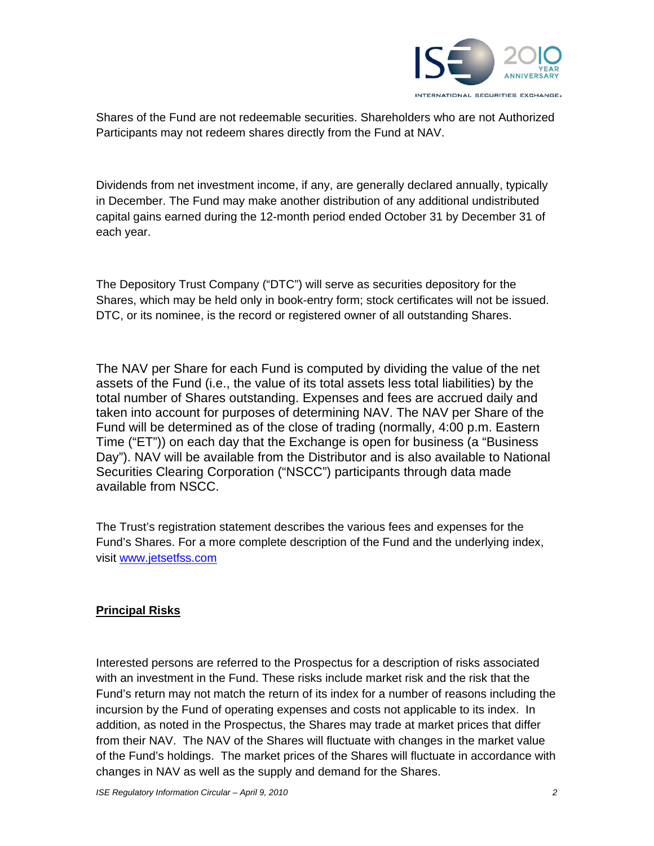

Shares of the Fund are not redeemable securities. Shareholders who are not Authorized Participants may not redeem shares directly from the Fund at NAV.

Dividends from net investment income, if any, are generally declared annually, typically in December. The Fund may make another distribution of any additional undistributed capital gains earned during the 12-month period ended October 31 by December 31 of each year.

The Depository Trust Company ("DTC") will serve as securities depository for the Shares, which may be held only in book-entry form; stock certificates will not be issued. DTC, or its nominee, is the record or registered owner of all outstanding Shares.

The NAV per Share for each Fund is computed by dividing the value of the net assets of the Fund (i.e., the value of its total assets less total liabilities) by the total number of Shares outstanding. Expenses and fees are accrued daily and taken into account for purposes of determining NAV. The NAV per Share of the Fund will be determined as of the close of trading (normally, 4:00 p.m. Eastern Time ("ET")) on each day that the Exchange is open for business (a "Business Day"). NAV will be available from the Distributor and is also available to National Securities Clearing Corporation ("NSCC") participants through data made available from NSCC.

The Trust's registration statement describes the various fees and expenses for the Fund's Shares. For a more complete description of the Fund and the underlying index, visit www.jetsetfss.com

## **Principal Risks**

Interested persons are referred to the Prospectus for a description of risks associated with an investment in the Fund. These risks include market risk and the risk that the Fund's return may not match the return of its index for a number of reasons including the incursion by the Fund of operating expenses and costs not applicable to its index. In addition, as noted in the Prospectus, the Shares may trade at market prices that differ from their NAV. The NAV of the Shares will fluctuate with changes in the market value of the Fund's holdings. The market prices of the Shares will fluctuate in accordance with changes in NAV as well as the supply and demand for the Shares.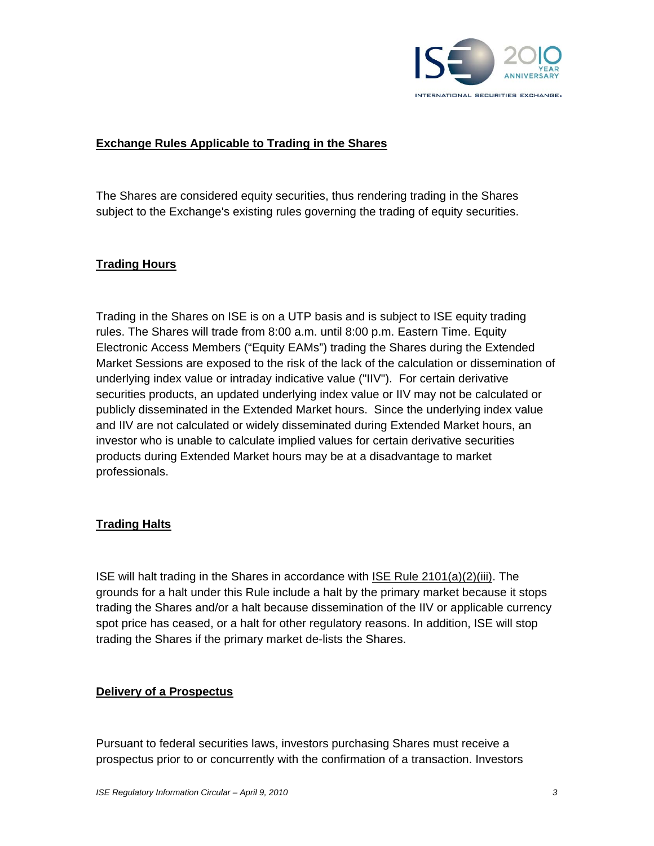

### **Exchange Rules Applicable to Trading in the Shares**

The Shares are considered equity securities, thus rendering trading in the Shares subject to the Exchange's existing rules governing the trading of equity securities.

### **Trading Hours**

Trading in the Shares on ISE is on a UTP basis and is subject to ISE equity trading rules. The Shares will trade from 8:00 a.m. until 8:00 p.m. Eastern Time. Equity Electronic Access Members ("Equity EAMs") trading the Shares during the Extended Market Sessions are exposed to the risk of the lack of the calculation or dissemination of underlying index value or intraday indicative value ("IIV"). For certain derivative securities products, an updated underlying index value or IIV may not be calculated or publicly disseminated in the Extended Market hours. Since the underlying index value and IIV are not calculated or widely disseminated during Extended Market hours, an investor who is unable to calculate implied values for certain derivative securities products during Extended Market hours may be at a disadvantage to market professionals.

### **Trading Halts**

ISE will halt trading in the Shares in accordance with ISE Rule 2101(a)(2)(iii). The grounds for a halt under this Rule include a halt by the primary market because it stops trading the Shares and/or a halt because dissemination of the IIV or applicable currency spot price has ceased, or a halt for other regulatory reasons. In addition, ISE will stop trading the Shares if the primary market de-lists the Shares.

### **Delivery of a Prospectus**

Pursuant to federal securities laws, investors purchasing Shares must receive a prospectus prior to or concurrently with the confirmation of a transaction. Investors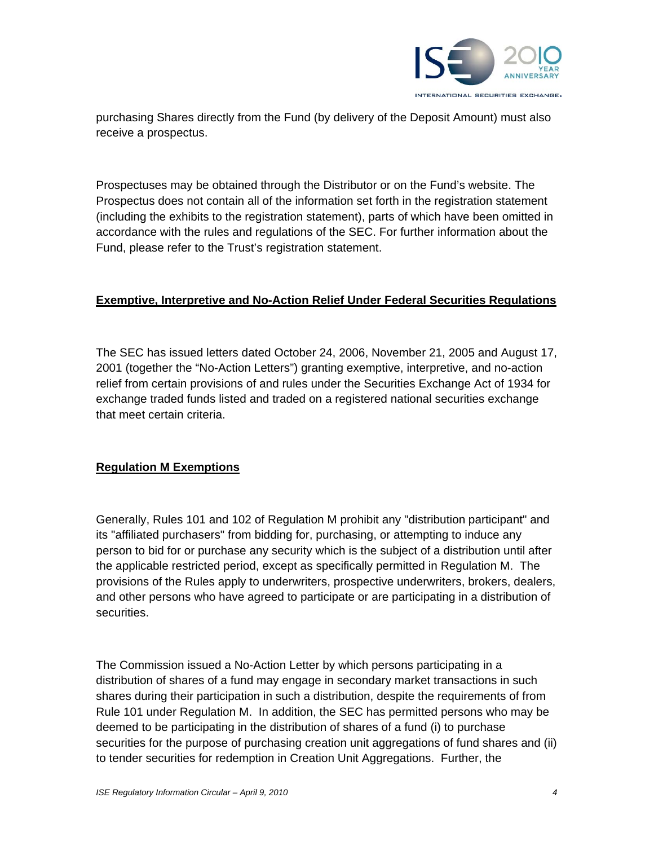

purchasing Shares directly from the Fund (by delivery of the Deposit Amount) must also receive a prospectus.

Prospectuses may be obtained through the Distributor or on the Fund's website. The Prospectus does not contain all of the information set forth in the registration statement (including the exhibits to the registration statement), parts of which have been omitted in accordance with the rules and regulations of the SEC. For further information about the Fund, please refer to the Trust's registration statement.

### **Exemptive, Interpretive and No-Action Relief Under Federal Securities Regulations**

The SEC has issued letters dated October 24, 2006, November 21, 2005 and August 17, 2001 (together the "No-Action Letters") granting exemptive, interpretive, and no-action relief from certain provisions of and rules under the Securities Exchange Act of 1934 for exchange traded funds listed and traded on a registered national securities exchange that meet certain criteria.

## **Regulation M Exemptions**

Generally, Rules 101 and 102 of Regulation M prohibit any "distribution participant" and its "affiliated purchasers" from bidding for, purchasing, or attempting to induce any person to bid for or purchase any security which is the subject of a distribution until after the applicable restricted period, except as specifically permitted in Regulation M. The provisions of the Rules apply to underwriters, prospective underwriters, brokers, dealers, and other persons who have agreed to participate or are participating in a distribution of securities.

The Commission issued a No-Action Letter by which persons participating in a distribution of shares of a fund may engage in secondary market transactions in such shares during their participation in such a distribution, despite the requirements of from Rule 101 under Regulation M. In addition, the SEC has permitted persons who may be deemed to be participating in the distribution of shares of a fund (i) to purchase securities for the purpose of purchasing creation unit aggregations of fund shares and (ii) to tender securities for redemption in Creation Unit Aggregations. Further, the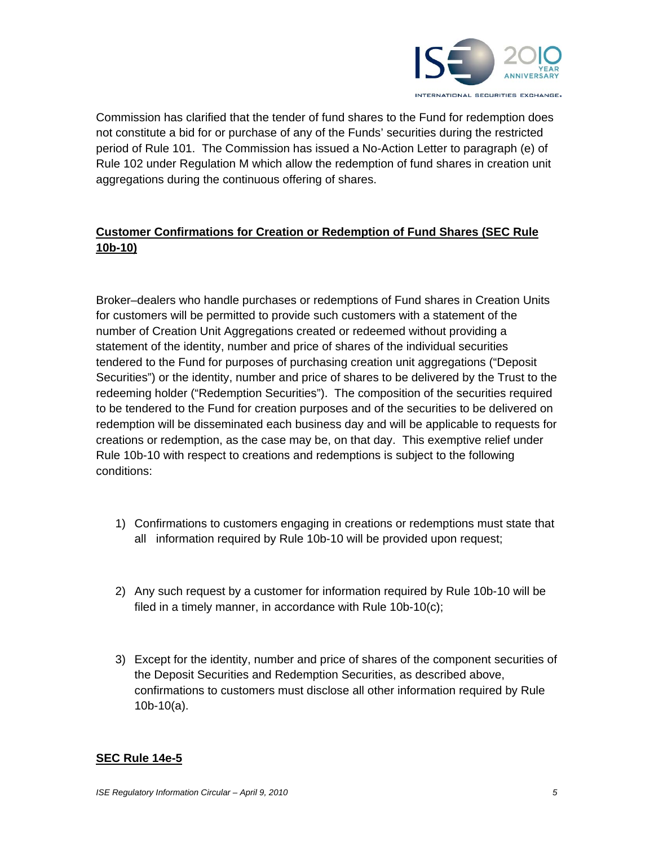

Commission has clarified that the tender of fund shares to the Fund for redemption does not constitute a bid for or purchase of any of the Funds' securities during the restricted period of Rule 101. The Commission has issued a No-Action Letter to paragraph (e) of Rule 102 under Regulation M which allow the redemption of fund shares in creation unit aggregations during the continuous offering of shares.

## **Customer Confirmations for Creation or Redemption of Fund Shares (SEC Rule 10b-10)**

Broker–dealers who handle purchases or redemptions of Fund shares in Creation Units for customers will be permitted to provide such customers with a statement of the number of Creation Unit Aggregations created or redeemed without providing a statement of the identity, number and price of shares of the individual securities tendered to the Fund for purposes of purchasing creation unit aggregations ("Deposit Securities") or the identity, number and price of shares to be delivered by the Trust to the redeeming holder ("Redemption Securities"). The composition of the securities required to be tendered to the Fund for creation purposes and of the securities to be delivered on redemption will be disseminated each business day and will be applicable to requests for creations or redemption, as the case may be, on that day. This exemptive relief under Rule 10b-10 with respect to creations and redemptions is subject to the following conditions:

- 1) Confirmations to customers engaging in creations or redemptions must state that all information required by Rule 10b-10 will be provided upon request;
- 2) Any such request by a customer for information required by Rule 10b-10 will be filed in a timely manner, in accordance with Rule 10b-10(c);
- 3) Except for the identity, number and price of shares of the component securities of the Deposit Securities and Redemption Securities, as described above, confirmations to customers must disclose all other information required by Rule 10b-10(a).

### **SEC Rule 14e-5**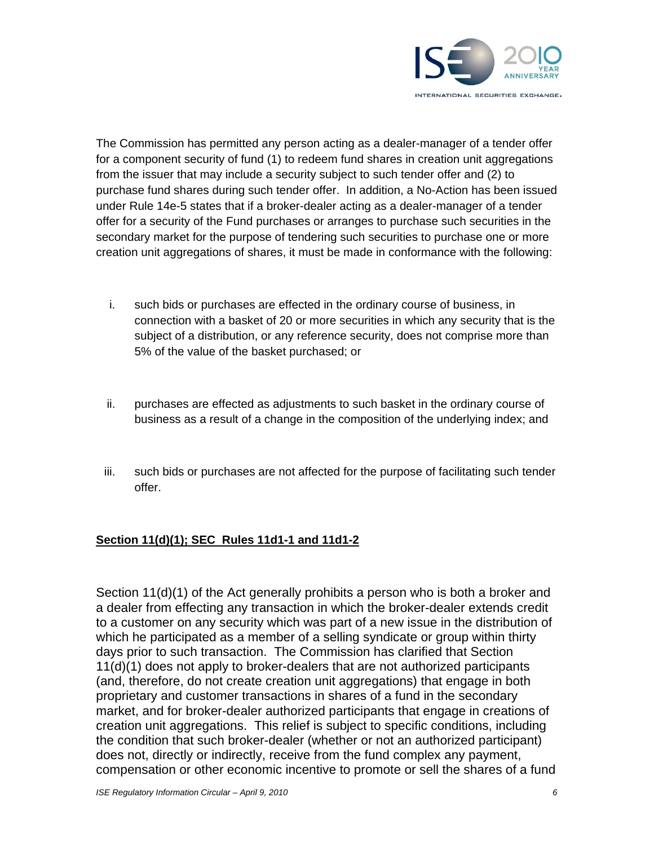

The Commission has permitted any person acting as a dealer-manager of a tender offer for a component security of fund (1) to redeem fund shares in creation unit aggregations from the issuer that may include a security subject to such tender offer and (2) to purchase fund shares during such tender offer. In addition, a No-Action has been issued under Rule 14e-5 states that if a broker-dealer acting as a dealer-manager of a tender offer for a security of the Fund purchases or arranges to purchase such securities in the secondary market for the purpose of tendering such securities to purchase one or more creation unit aggregations of shares, it must be made in conformance with the following:

- i. such bids or purchases are effected in the ordinary course of business, in connection with a basket of 20 or more securities in which any security that is the subject of a distribution, or any reference security, does not comprise more than 5% of the value of the basket purchased; or
- ii. purchases are effected as adjustments to such basket in the ordinary course of business as a result of a change in the composition of the underlying index; and
- iii. such bids or purchases are not affected for the purpose of facilitating such tender offer.

## **Section 11(d)(1); SEC Rules 11d1-1 and 11d1-2**

Section 11(d)(1) of the Act generally prohibits a person who is both a broker and a dealer from effecting any transaction in which the broker-dealer extends credit to a customer on any security which was part of a new issue in the distribution of which he participated as a member of a selling syndicate or group within thirty days prior to such transaction. The Commission has clarified that Section 11(d)(1) does not apply to broker-dealers that are not authorized participants (and, therefore, do not create creation unit aggregations) that engage in both proprietary and customer transactions in shares of a fund in the secondary market, and for broker-dealer authorized participants that engage in creations of creation unit aggregations. This relief is subject to specific conditions, including the condition that such broker-dealer (whether or not an authorized participant) does not, directly or indirectly, receive from the fund complex any payment, compensation or other economic incentive to promote or sell the shares of a fund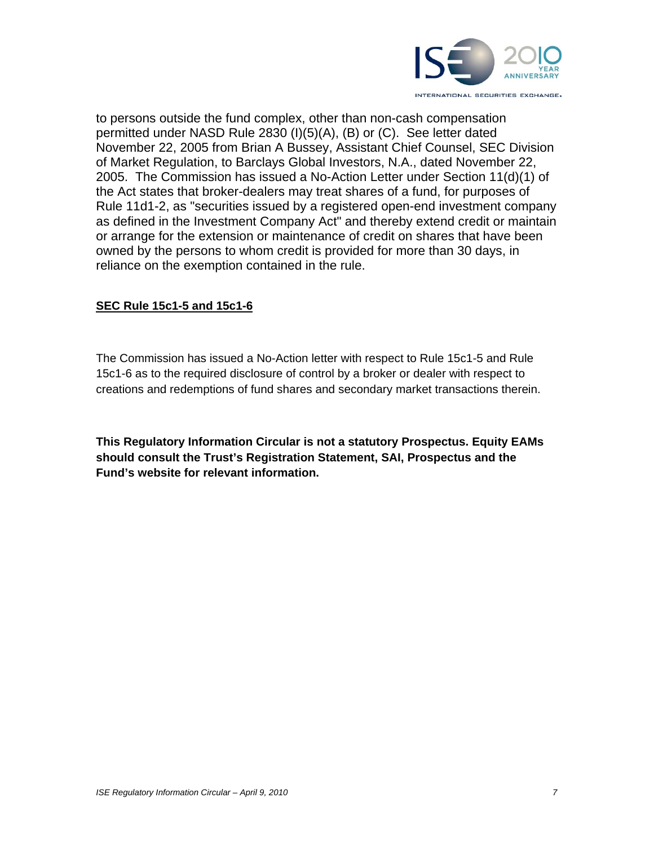

to persons outside the fund complex, other than non-cash compensation permitted under NASD Rule 2830 (I)(5)(A), (B) or (C). See letter dated November 22, 2005 from Brian A Bussey, Assistant Chief Counsel, SEC Division of Market Regulation, to Barclays Global Investors, N.A., dated November 22, 2005. The Commission has issued a No-Action Letter under Section 11(d)(1) of the Act states that broker-dealers may treat shares of a fund, for purposes of Rule 11d1-2, as "securities issued by a registered open-end investment company as defined in the Investment Company Act" and thereby extend credit or maintain or arrange for the extension or maintenance of credit on shares that have been owned by the persons to whom credit is provided for more than 30 days, in reliance on the exemption contained in the rule.

### **SEC Rule 15c1-5 and 15c1-6**

The Commission has issued a No-Action letter with respect to Rule 15c1-5 and Rule 15c1-6 as to the required disclosure of control by a broker or dealer with respect to creations and redemptions of fund shares and secondary market transactions therein.

**This Regulatory Information Circular is not a statutory Prospectus. Equity EAMs should consult the Trust's Registration Statement, SAI, Prospectus and the Fund's website for relevant information.**